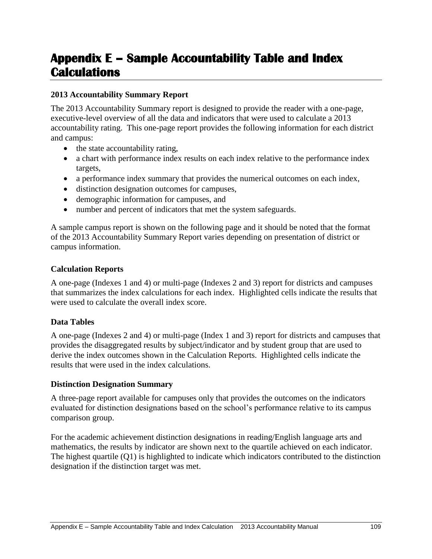# **Appendix E – Sample Accountability Table and Index Calculations**

### **2013 Accountability Summary Report**

The 2013 Accountability Summary report is designed to provide the reader with a one-page, executive-level overview of all the data and indicators that were used to calculate a 2013 accountability rating. This one-page report provides the following information for each district and campus:

- the state accountability rating,
- a chart with performance index results on each index relative to the performance index targets,
- a performance index summary that provides the numerical outcomes on each index,
- distinction designation outcomes for campuses,
- demographic information for campuses, and
- number and percent of indicators that met the system safeguards.

A sample campus report is shown on the following page and it should be noted that the format of the 2013 Accountability Summary Report varies depending on presentation of district or campus information.

#### **Calculation Reports**

A one-page (Indexes 1 and 4) or multi-page (Indexes 2 and 3) report for districts and campuses that summarizes the index calculations for each index. Highlighted cells indicate the results that were used to calculate the overall index score.

## **Data Tables**

A one-page (Indexes 2 and 4) or multi-page (Index 1 and 3) report for districts and campuses that provides the disaggregated results by subject/indicator and by student group that are used to derive the index outcomes shown in the Calculation Reports. Highlighted cells indicate the results that were used in the index calculations.

#### **Distinction Designation Summary**

A three-page report available for campuses only that provides the outcomes on the indicators evaluated for distinction designations based on the school's performance relative to its campus comparison group.

For the academic achievement distinction designations in reading/English language arts and mathematics, the results by indicator are shown next to the quartile achieved on each indicator. The highest quartile (Q1) is highlighted to indicate which indicators contributed to the distinction designation if the distinction target was met.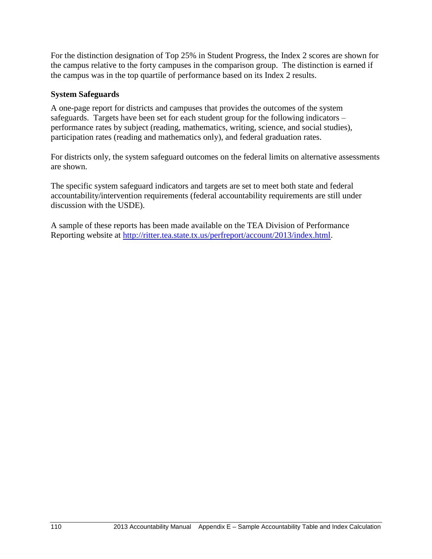For the distinction designation of Top 25% in Student Progress, the Index 2 scores are shown for the campus relative to the forty campuses in the comparison group. The distinction is earned if the campus was in the top quartile of performance based on its Index 2 results.

#### **System Safeguards**

A one-page report for districts and campuses that provides the outcomes of the system safeguards. Targets have been set for each student group for the following indicators – performance rates by subject (reading, mathematics, writing, science, and social studies), participation rates (reading and mathematics only), and federal graduation rates.

For districts only, the system safeguard outcomes on the federal limits on alternative assessments are shown.

The specific system safeguard indicators and targets are set to meet both state and federal accountability/intervention requirements (federal accountability requirements are still under discussion with the USDE).

A sample of these reports has been made available on the TEA Division of Performance Reporting website at [http://ritter.tea.state.tx.us/perfreport/account/2013/index.html.](http://ritter.tea.state.tx.us/perfreport/account/2013/index.html)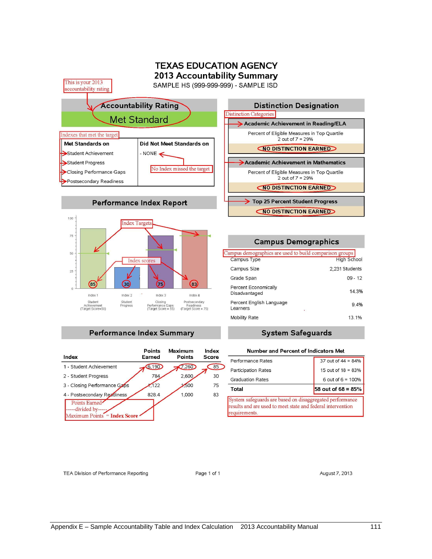

#### **Performance Index Summary**

| Index                                                           | <b>Points</b><br>Earned | Maximum<br>Points | Index<br>Score |
|-----------------------------------------------------------------|-------------------------|-------------------|----------------|
| 1 - Student Achievement                                         | 6,190                   | 7,260             | 85             |
| 2 - Student Progress                                            | 784                     | 2,600             | 30             |
| 3 - Closing Performance Gaps                                    | 122                     | 500               | 75             |
| 4 - Postsecondary Readiness                                     | 828.4                   | 1,000             | 83             |
| Points Earned<br>-divided by---<br>Maximum Points = Index Score |                         |                   |                |

#### **System Safeguards**

|                                                                                                                                          | Number and Percent of Indicators Met |  |  |
|------------------------------------------------------------------------------------------------------------------------------------------|--------------------------------------|--|--|
| Performance Rates                                                                                                                        | 37 out of $44 = 84%$                 |  |  |
| <b>Participation Rates</b>                                                                                                               | 15 out of $18 = 83%$                 |  |  |
| <b>Graduation Rates</b>                                                                                                                  | 6 out of $6 = 100%$                  |  |  |
| Total                                                                                                                                    | 58 out of $68 = 85\%$                |  |  |
| System safeguards are based on disaggregated performance<br>results and are used to meet state and federal intervention<br>requirements. |                                      |  |  |

TEA Division of Performance Reporting

Page 1 of 1